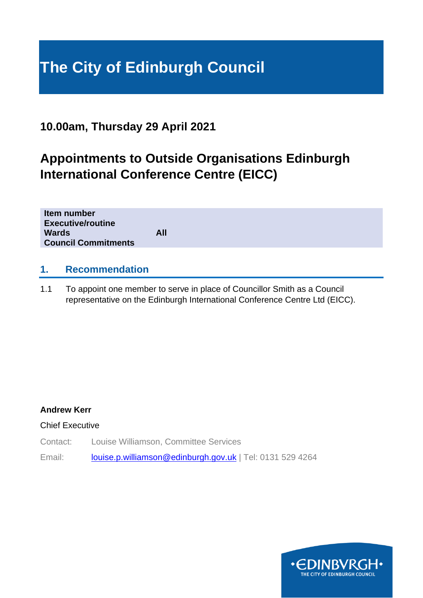# **The City of Edinburgh Council**

# **10.00am, Thursday 29 April 2021**

# **Appointments to Outside Organisations Edinburgh International Conference Centre (EICC)**

| Item number<br><b>Executive/routine</b><br><b>Wards</b><br><b>Council Commitments</b> | All |
|---------------------------------------------------------------------------------------|-----|
|                                                                                       |     |

# **1. Recommendation**

1.1 To appoint one member to serve in place of Councillor Smith as a Council representative on the Edinburgh International Conference Centre Ltd (EICC).

#### **Andrew Kerr**

Chief Executive

Contact: Louise Williamson, Committee Services

Email: [louise.p.williamson@edinburgh.gov.uk](mailto:louise.p.williamson@edinburgh.gov.uk) | Tel: 0131 529 4264

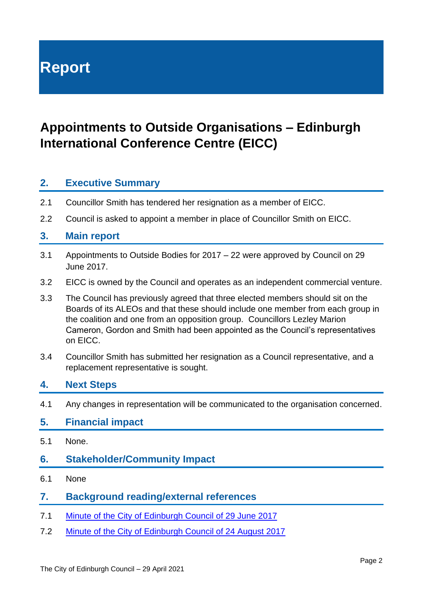# **Report**

# **Appointments to Outside Organisations – Edinburgh International Conference Centre (EICC)**

# **2. Executive Summary**

- 2.1 Councillor Smith has tendered her resignation as a member of EICC.
- 2.2 Council is asked to appoint a member in place of Councillor Smith on EICC.

## **3. Main report**

- 3.1 Appointments to Outside Bodies for 2017 22 were approved by Council on 29 June 2017.
- 3.2 EICC is owned by the Council and operates as an independent commercial venture.
- 3.3 The Council has previously agreed that three elected members should sit on the Boards of its ALEOs and that these should include one member from each group in the coalition and one from an opposition group. Councillors Lezley Marion Cameron, Gordon and Smith had been appointed as the Council's representatives on EICC.
- 3.4 Councillor Smith has submitted her resignation as a Council representative, and a replacement representative is sought.

## **4. Next Steps**

4.1 Any changes in representation will be communicated to the organisation concerned.

#### **5. Financial impact**

5.1 None.

## **6. Stakeholder/Community Impact**

6.1 None

## **7. Background reading/external references**

- 7.1 [Minute of the City of Edinburgh Council of 29 June 2017](Item%204.2%20-%20Minute%20of%2029%20June%202017%20-%20Previous%20Minutes,)
- 7.2 [Minute of the City of Edinburgh Council of 24 August 2017](Item%204.1%20-%20Minute%20of%2024%20August%202017%20-%20Previous%20Minutes,)